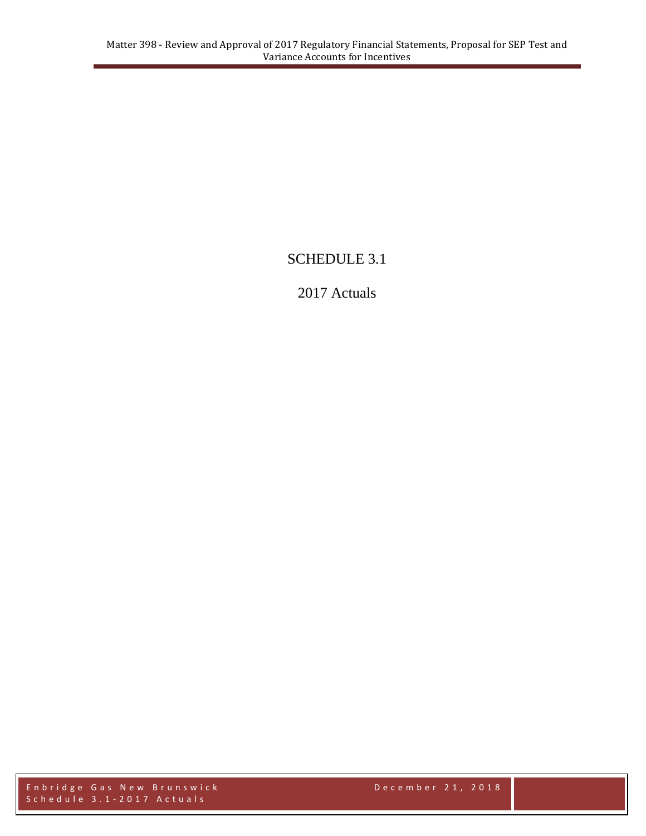# SCHEDULE 3.1

# 2017 Actuals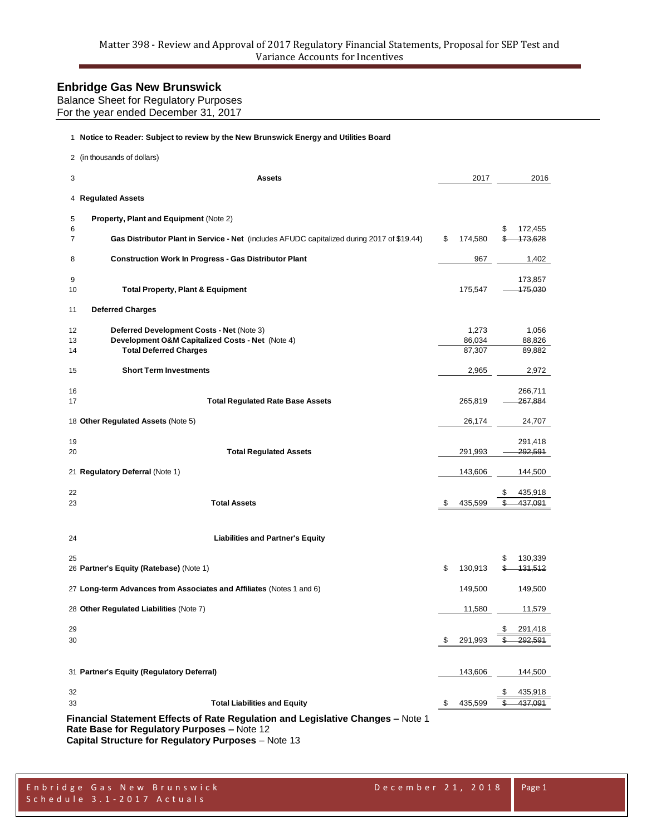Balance Sheet for Regulatory Purposes

For the year ended December 31, 2017

| 1 Notice to Reader: Subject to review by the New Brunswick Energy and Utilities Board                                                            |                           |          |                           |
|--------------------------------------------------------------------------------------------------------------------------------------------------|---------------------------|----------|---------------------------|
| 2 (in thousands of dollars)                                                                                                                      |                           |          |                           |
| 3<br><b>Assets</b>                                                                                                                               | 2017                      |          | 2016                      |
| 4 Regulated Assets                                                                                                                               |                           |          |                           |
| <b>Property, Plant and Equipment (Note 2)</b><br>5<br>6                                                                                          |                           | \$       | 172,455                   |
| 7<br>Gas Distributor Plant in Service - Net (includes AFUDC capitalized during 2017 of \$19.44)                                                  | \$<br>174,580             |          | 473,628                   |
| <b>Construction Work In Progress - Gas Distributor Plant</b><br>8                                                                                | 967                       |          | 1,402                     |
| 9<br><b>Total Property, Plant &amp; Equipment</b><br>10                                                                                          | 175,547                   |          | 173,857<br>475,030        |
| <b>Deferred Charges</b><br>11                                                                                                                    |                           |          |                           |
| Deferred Development Costs - Net (Note 3)<br>12<br>Development O&M Capitalized Costs - Net (Note 4)<br>13<br><b>Total Deferred Charges</b><br>14 | 1,273<br>86,034<br>87,307 |          | 1,056<br>88,826<br>89,882 |
| <b>Short Term Investments</b><br>15                                                                                                              | 2,965                     |          | 2,972                     |
| 16<br>17<br><b>Total Regulated Rate Base Assets</b>                                                                                              | 265,819                   |          | 266,711<br>267,884        |
| 18 Other Regulated Assets (Note 5)                                                                                                               | 26,174                    |          | 24,707                    |
| 19<br><b>Total Regulated Assets</b><br>20                                                                                                        | 291,993                   |          | 291,418<br>292,591        |
| 21 Regulatory Deferral (Note 1)                                                                                                                  | 143,606                   |          | 144,500                   |
| 22<br><b>Total Assets</b><br>23                                                                                                                  | \$<br>435,599             | \$<br>\$ | 435,918<br>437,091        |
| <b>Liabilities and Partner's Equity</b><br>24                                                                                                    |                           |          |                           |
| 25<br>26 Partner's Equity (Ratebase) (Note 1)                                                                                                    | \$<br>130,913             | \$       | 130,339<br>431,512        |
| 27 Long-term Advances from Associates and Affiliates (Notes 1 and 6)                                                                             | 149,500                   |          | 149,500                   |
| 28 Other Regulated Liabilities (Note 7)                                                                                                          | 11,580                    |          | 11,579                    |
| 29<br>30                                                                                                                                         | \$<br>291,993             | S        | 291,418<br>292,591        |
| 31 Partner's Equity (Regulatory Deferral)                                                                                                        | 143,606                   |          | 144,500                   |
| 32<br><b>Total Liabilities and Equity</b><br>33                                                                                                  | \$<br>435,599             | \$<br>\$ | 435,918<br>437,091        |
| Financial Statement Effects of Rate Regulation and Legislative Changes - Note 1                                                                  |                           |          |                           |

**Rate Base for Regulatory Purposes –** Note 12

**Capital Structure for Regulatory Purposes** – Note 13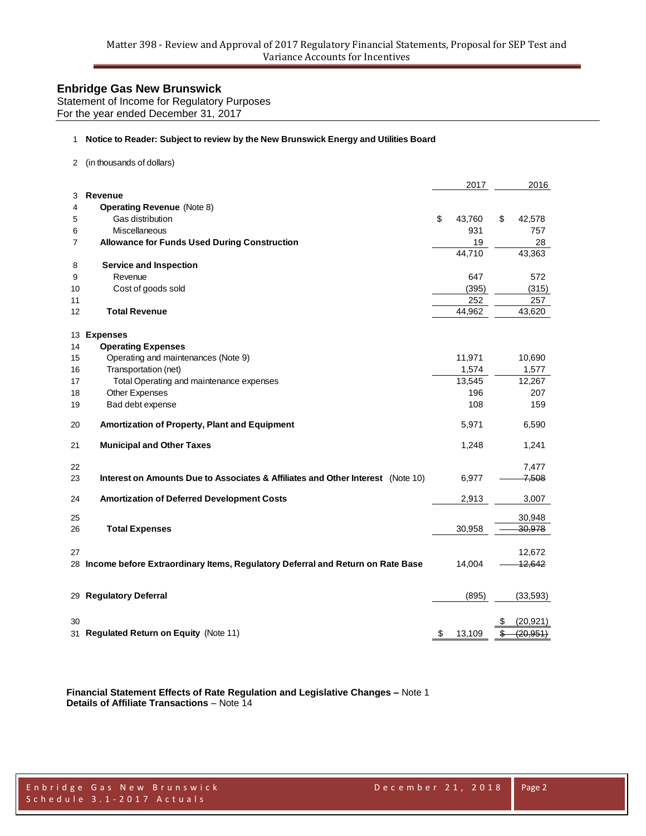Statement of Income for Regulatory Purposes For the year ended December 31, 2017

#### **Notice to Reader: Subject to review by the New Brunswick Energy and Utilities Board**

(in thousands of dollars)

|                |                                                                                   | 2017         |    | 2016      |
|----------------|-----------------------------------------------------------------------------------|--------------|----|-----------|
| 3              | <b>Revenue</b>                                                                    |              |    |           |
| 4              | <b>Operating Revenue (Note 8)</b>                                                 |              |    |           |
| 5              | Gas distribution                                                                  | \$<br>43,760 | \$ | 42,578    |
| 6              | Miscellaneous                                                                     | 931          |    | 757       |
| $\overline{7}$ | <b>Allowance for Funds Used During Construction</b>                               | 19           |    | 28        |
|                |                                                                                   | 44,710       |    | 43,363    |
| 8              | <b>Service and Inspection</b>                                                     |              |    |           |
| 9              | Revenue                                                                           | 647          |    | 572       |
| 10             | Cost of goods sold                                                                | (395)        |    | (315)     |
| 11             |                                                                                   | 252          |    | 257       |
| 12             | <b>Total Revenue</b>                                                              | 44,962       |    | 43,620    |
| 13             | <b>Expenses</b>                                                                   |              |    |           |
| 14             | <b>Operating Expenses</b>                                                         |              |    |           |
| 15             | Operating and maintenances (Note 9)                                               | 11,971       |    | 10,690    |
| 16             | Transportation (net)                                                              | 1,574        |    | 1,577     |
| 17             | Total Operating and maintenance expenses                                          | 13,545       |    | 12,267    |
| 18             | Other Expenses                                                                    | 196          |    | 207       |
| 19             | Bad debt expense                                                                  | 108          |    | 159       |
| 20             | Amortization of Property, Plant and Equipment                                     | 5,971        |    | 6,590     |
| 21             | <b>Municipal and Other Taxes</b>                                                  | 1,248        |    | 1,241     |
| 22             |                                                                                   |              |    | 7,477     |
| 23             | Interest on Amounts Due to Associates & Affiliates and Other Interest (Note 10)   | 6,977        |    | 7,508     |
|                |                                                                                   |              |    |           |
| 24             | <b>Amortization of Deferred Development Costs</b>                                 | 2,913        |    | 3,007     |
| 25             |                                                                                   |              |    | 30,948    |
| 26             | <b>Total Expenses</b>                                                             | 30,958       |    | 30,978    |
| 27             |                                                                                   |              |    | 12,672    |
|                | 28 Income before Extraordinary Items, Regulatory Deferral and Return on Rate Base | 14,004       |    | 12,642    |
| 29             | <b>Regulatory Deferral</b>                                                        | (895)        |    | (33,593)  |
|                |                                                                                   |              |    |           |
| 30             |                                                                                   |              | S  | (20, 921) |
|                | 31 Regulated Return on Equity (Note 11)                                           | \$<br>13,109 | \$ | (20, 951) |

**Financial Statement Effects of Rate Regulation and Legislative Changes –** Note 1 **Details of Affiliate Transactions** – Note 14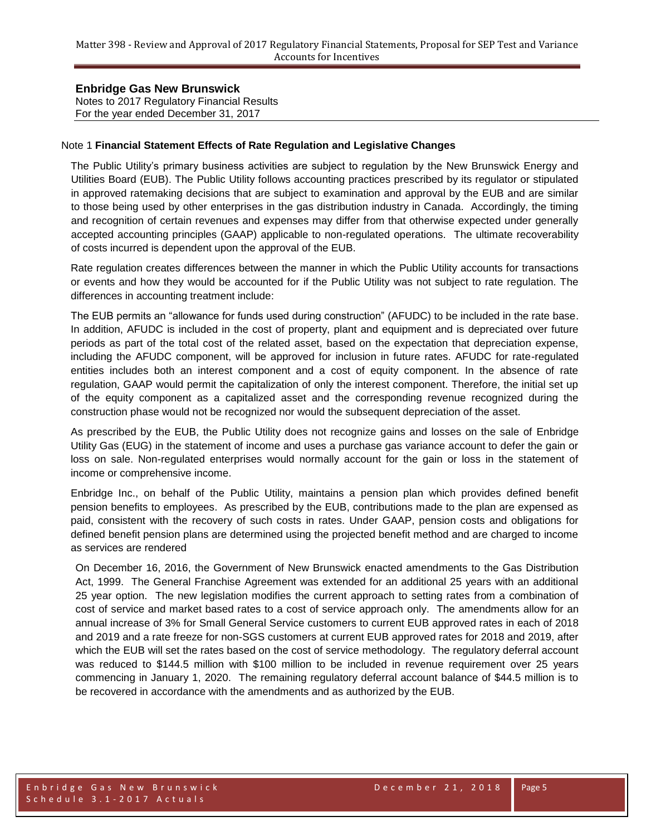Notes to 2017 Regulatory Financial Results For the year ended December 31, 2017

#### Note 1 **Financial Statement Effects of Rate Regulation and Legislative Changes**

The Public Utility's primary business activities are subject to regulation by the New Brunswick Energy and Utilities Board (EUB). The Public Utility follows accounting practices prescribed by its regulator or stipulated in approved ratemaking decisions that are subject to examination and approval by the EUB and are similar to those being used by other enterprises in the gas distribution industry in Canada. Accordingly, the timing and recognition of certain revenues and expenses may differ from that otherwise expected under generally accepted accounting principles (GAAP) applicable to non-regulated operations. The ultimate recoverability of costs incurred is dependent upon the approval of the EUB.

Rate regulation creates differences between the manner in which the Public Utility accounts for transactions or events and how they would be accounted for if the Public Utility was not subject to rate regulation. The differences in accounting treatment include:

The EUB permits an "allowance for funds used during construction" (AFUDC) to be included in the rate base. In addition, AFUDC is included in the cost of property, plant and equipment and is depreciated over future periods as part of the total cost of the related asset, based on the expectation that depreciation expense, including the AFUDC component, will be approved for inclusion in future rates. AFUDC for rate-regulated entities includes both an interest component and a cost of equity component. In the absence of rate regulation, GAAP would permit the capitalization of only the interest component. Therefore, the initial set up of the equity component as a capitalized asset and the corresponding revenue recognized during the construction phase would not be recognized nor would the subsequent depreciation of the asset.

As prescribed by the EUB, the Public Utility does not recognize gains and losses on the sale of Enbridge Utility Gas (EUG) in the statement of income and uses a purchase gas variance account to defer the gain or loss on sale. Non-regulated enterprises would normally account for the gain or loss in the statement of income or comprehensive income.

Enbridge Inc., on behalf of the Public Utility, maintains a pension plan which provides defined benefit pension benefits to employees. As prescribed by the EUB, contributions made to the plan are expensed as paid, consistent with the recovery of such costs in rates. Under GAAP, pension costs and obligations for defined benefit pension plans are determined using the projected benefit method and are charged to income as services are rendered

On December 16, 2016, the Government of New Brunswick enacted amendments to the Gas Distribution Act, 1999. The General Franchise Agreement was extended for an additional 25 years with an additional 25 year option. The new legislation modifies the current approach to setting rates from a combination of cost of service and market based rates to a cost of service approach only. The amendments allow for an annual increase of 3% for Small General Service customers to current EUB approved rates in each of 2018 and 2019 and a rate freeze for non-SGS customers at current EUB approved rates for 2018 and 2019, after which the EUB will set the rates based on the cost of service methodology. The regulatory deferral account was reduced to \$144.5 million with \$100 million to be included in revenue requirement over 25 years commencing in January 1, 2020. The remaining regulatory deferral account balance of \$44.5 million is to be recovered in accordance with the amendments and as authorized by the EUB.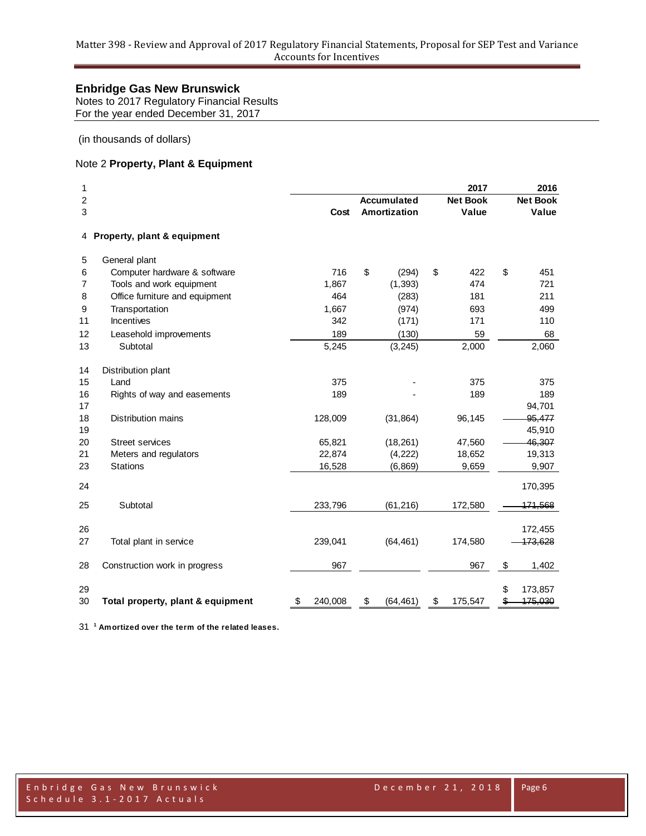Notes to 2017 Regulatory Financial Results For the year ended December 31, 2017

(in thousands of dollars)

# Note 2 **Property, Plant & Equipment**

| 1<br>2         |                                   |               | <b>Accumulated</b> | 2017<br><b>Net Book</b> | 2016<br><b>Net Book</b> |
|----------------|-----------------------------------|---------------|--------------------|-------------------------|-------------------------|
| 3              |                                   | Cost          | Amortization       | Value                   | Value                   |
| 4              | Property, plant & equipment       |               |                    |                         |                         |
| 5              | General plant                     |               |                    |                         |                         |
| 6              | Computer hardware & software      | 716           | \$<br>(294)        | \$<br>422               | \$<br>451               |
| $\overline{7}$ | Tools and work equipment          | 1,867         | (1, 393)           | 474                     | 721                     |
| 8              | Office furniture and equipment    | 464           | (283)              | 181                     | 211                     |
| 9              | Transportation                    | 1,667         | (974)              | 693                     | 499                     |
| 11             | Incentives                        | 342           | (171)              | 171                     | 110                     |
| 12             | Leasehold improvements            | 189           | (130)              | 59                      | 68                      |
| 13             | Subtotal                          | 5,245         | (3, 245)           | 2,000                   | 2,060                   |
| 14             | Distribution plant                |               |                    |                         |                         |
| 15             | Land                              | 375           |                    | 375                     | 375                     |
| 16             | Rights of way and easements       | 189           |                    | 189                     | 189                     |
| 17             |                                   |               |                    |                         | 94,701                  |
| 18             | <b>Distribution mains</b>         | 128,009       | (31, 864)          | 96,145                  | 95,477                  |
| 19             |                                   |               |                    |                         | 45,910                  |
| 20             | <b>Street services</b>            | 65,821        | (18, 261)          | 47,560                  | 46,307                  |
| 21             | Meters and regulators             | 22,874        | (4, 222)           | 18,652                  | 19,313                  |
| 23             | <b>Stations</b>                   | 16,528        | (6, 869)           | 9,659                   | 9,907                   |
| 24             |                                   |               |                    |                         | 170,395                 |
| 25             | Subtotal                          | 233,796       | (61, 216)          | 172,580                 | 171,568                 |
| 26             |                                   |               |                    |                         | 172,455                 |
| 27             | Total plant in service            | 239,041       | (64, 461)          | 174,580                 | 173,628                 |
|                |                                   |               |                    |                         |                         |
| 28             | Construction work in progress     | 967           |                    | 967                     | \$<br>1,402             |
|                |                                   |               |                    |                         |                         |
| 29             |                                   |               |                    |                         | \$<br>173,857           |
| 30             | Total property, plant & equipment | \$<br>240,008 | \$<br>(64, 461)    | \$<br>175,547           | \$<br>175,030           |

**<sup>1</sup> Amortized over the term of the related leases.**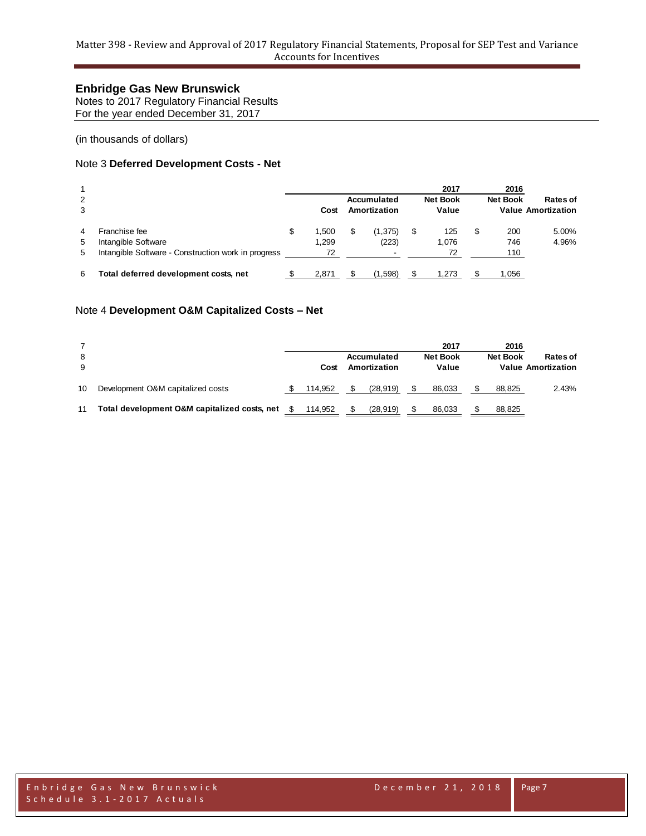Notes to 2017 Regulatory Financial Results For the year ended December 31, 2017

(in thousands of dollars)

# Note 3 **Deferred Development Costs - Net**

| 2<br>3 |                                                     |   | Cost  | Accumulated<br>Amortization |     | 2017<br><b>Net Book</b><br>Value |   | 2016<br><b>Net Book</b> | Rates of<br><b>Value Amortization</b> |
|--------|-----------------------------------------------------|---|-------|-----------------------------|-----|----------------------------------|---|-------------------------|---------------------------------------|
| 4      | Franchise fee                                       | S | 1.500 | (1,375)                     | \$  | 125                              | S | 200                     | 5.00%                                 |
| 5      | Intangible Software                                 |   | 1.299 | (223)                       |     | 1,076                            |   | 746                     | 4.96%                                 |
| 5      | Intangible Software - Construction work in progress |   | 72    | $\overline{\phantom{0}}$    |     | 72                               |   | 110                     |                                       |
| 6      | Total deferred development costs, net               |   | 2,871 | (1,598)                     | \$. | 1.273                            |   | 1.056                   |                                       |

#### Note 4 **Development O&M Capitalized Costs – Net**

| 8<br>9 |                                              | Cost    | Accumulated<br>Amortization | 2017<br><b>Net Book</b><br>Value | 2016<br><b>Net Book</b> | Rates of<br><b>Value Amortization</b> |
|--------|----------------------------------------------|---------|-----------------------------|----------------------------------|-------------------------|---------------------------------------|
| 10     | Development O&M capitalized costs            | 114.952 | (28, 919)                   | 86.033                           | 88.825                  | 2.43%                                 |
| 11     | Total development O&M capitalized costs, net | 114.952 | (28, 919)                   | 86.033                           | 88.825                  |                                       |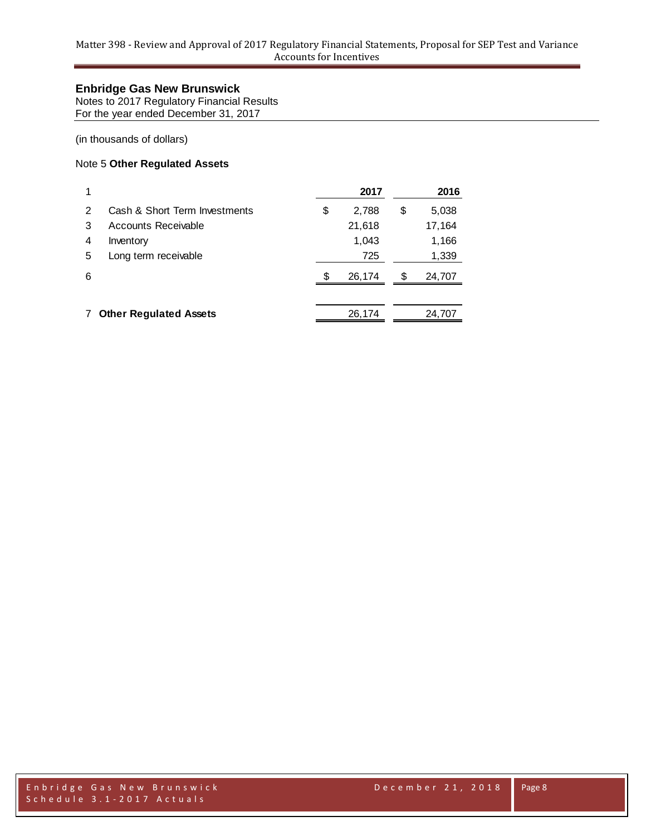Notes to 2017 Regulatory Financial Results For the year ended December 31, 2017

(in thousands of dollars)

### Note 5 **Other Regulated Assets**

|   |                               | 2017        |    | 2016   |
|---|-------------------------------|-------------|----|--------|
| 2 | Cash & Short Term Investments | \$<br>2,788 | \$ | 5,038  |
| 3 | Accounts Receivable           | 21,618      |    | 17,164 |
| 4 | Inventory                     | 1,043       |    | 1,166  |
| 5 | Long term receivable          | 725         |    | 1,339  |
| 6 |                               | 26,174      | S  | 24,707 |
|   |                               |             |    |        |
|   | <b>Other Regulated Assets</b> | 26,174      |    | 24,707 |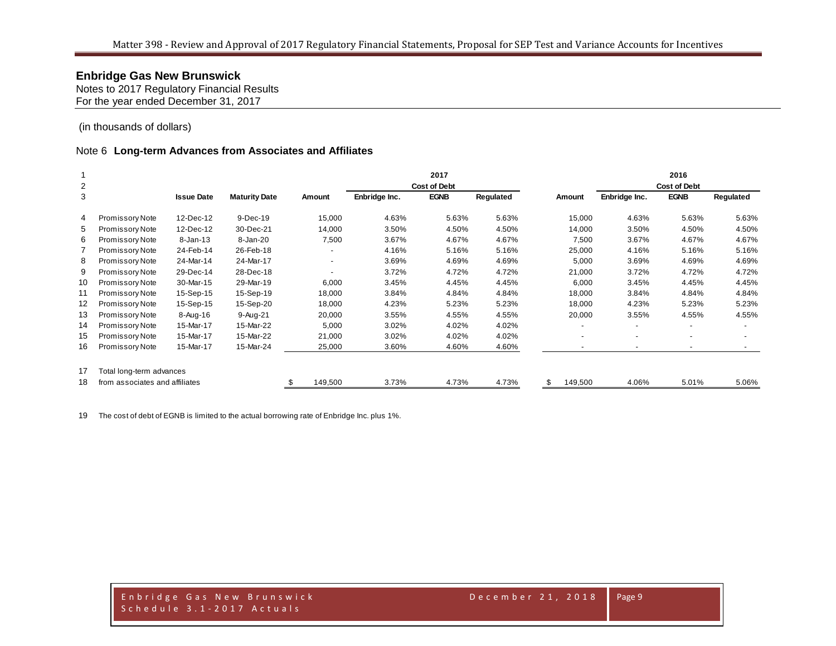Notes to 2017 Regulatory Financial Results For the year ended December 31, 2017

(in thousands of dollars)

#### Note 6 **Long-term Advances from Associates and Affiliates**

|                |                                |                   |                      |         |               | 2017                |           |               |                          | 2016                |           |
|----------------|--------------------------------|-------------------|----------------------|---------|---------------|---------------------|-----------|---------------|--------------------------|---------------------|-----------|
| $\overline{2}$ |                                |                   |                      |         |               | <b>Cost of Debt</b> |           |               |                          | <b>Cost of Debt</b> |           |
| 3              |                                | <b>Issue Date</b> | <b>Maturity Date</b> | Amount  | Enbridge Inc. | <b>EGNB</b>         | Regulated | Amount        | Enbridge Inc.            | <b>EGNB</b>         | Regulated |
| 4              | Promissory Note                | 12-Dec-12         | 9-Dec-19             | 15,000  | 4.63%         | 5.63%               | 5.63%     | 15,000        | 4.63%                    | 5.63%               | 5.63%     |
| 5              | Promissory Note                | 12-Dec-12         | 30-Dec-21            | 14,000  | 3.50%         | 4.50%               | 4.50%     | 14,000        | 3.50%                    | 4.50%               | 4.50%     |
| 6              | Promissory Note                | $8 - Jan - 13$    | 8-Jan-20             | 7,500   | 3.67%         | 4.67%               | 4.67%     | 7,500         | 3.67%                    | 4.67%               | 4.67%     |
|                | Promissory Note                | 24-Feb-14         | 26-Feb-18            |         | 4.16%         | 5.16%               | 5.16%     | 25,000        | 4.16%                    | 5.16%               | 5.16%     |
| 8              | Promissory Note                | 24-Mar-14         | 24-Mar-17            |         | 3.69%         | 4.69%               | 4.69%     | 5,000         | 3.69%                    | 4.69%               | 4.69%     |
| 9              | Promissory Note                | 29-Dec-14         | 28-Dec-18            |         | 3.72%         | 4.72%               | 4.72%     | 21,000        | 3.72%                    | 4.72%               | 4.72%     |
| 10             | Promissory Note                | 30-Mar-15         | 29-Mar-19            | 6,000   | 3.45%         | 4.45%               | 4.45%     | 6,000         | 3.45%                    | 4.45%               | 4.45%     |
| 11             | Promissory Note                | 15-Sep-15         | 15-Sep-19            | 18,000  | 3.84%         | 4.84%               | 4.84%     | 18,000        | 3.84%                    | 4.84%               | 4.84%     |
| 12             | Promissory Note                | 15-Sep-15         | 15-Sep-20            | 18,000  | 4.23%         | 5.23%               | 5.23%     | 18,000        | 4.23%                    | 5.23%               | 5.23%     |
| 13             | Promissory Note                | 8-Aug-16          | 9-Aug-21             | 20,000  | 3.55%         | 4.55%               | 4.55%     | 20,000        | 3.55%                    | 4.55%               | 4.55%     |
| 14             | Promissory Note                | 15-Mar-17         | 15-Mar-22            | 5,000   | 3.02%         | 4.02%               | 4.02%     |               |                          |                     |           |
| 15             | Promissory Note                | 15-Mar-17         | 15-Mar-22            | 21,000  | 3.02%         | 4.02%               | 4.02%     |               | -                        |                     |           |
| 16             | <b>Promissory Note</b>         | 15-Mar-17         | 15-Mar-24            | 25,000  | 3.60%         | 4.60%               | 4.60%     |               | $\overline{\phantom{a}}$ |                     |           |
| 17             | Total long-term advances       |                   |                      |         |               |                     |           |               |                          |                     |           |
| 18             | from associates and affiliates |                   |                      | 149,500 | 3.73%         | 4.73%               | 4.73%     | \$<br>149,500 | 4.06%                    | 5.01%               | 5.06%     |

The cost of debt of EGNB is limited to the actual borrowing rate of Enbridge Inc. plus 1%.

E n b r i d g e G a s N e w B r u n s w i c k D e c e m b e r 2 1 , 2 0 1 8 S c h e d u l e 3 . 1 - 2 0 1 7 A c t u a l s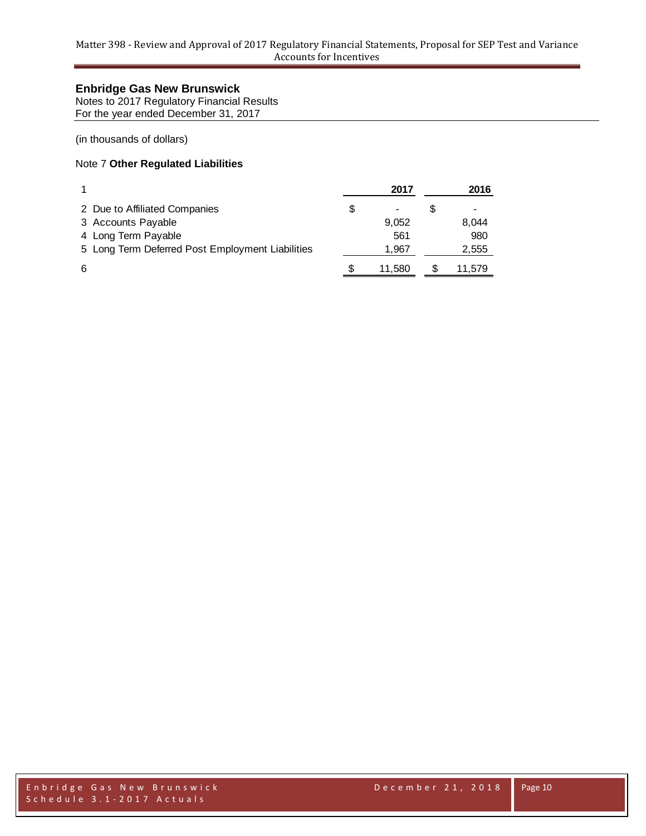Notes to 2017 Regulatory Financial Results For the year ended December 31, 2017

(in thousands of dollars)

# Note 7 **Other Regulated Liabilities**

|                                                  | 2017   | 2016   |
|--------------------------------------------------|--------|--------|
| 2 Due to Affiliated Companies                    |        |        |
| 3 Accounts Payable                               | 9.052  | 8.044  |
| 4 Long Term Payable                              | 561    | 980    |
| 5 Long Term Deferred Post Employment Liabilities | 1.967  | 2,555  |
| 6                                                | 11.580 | 11.579 |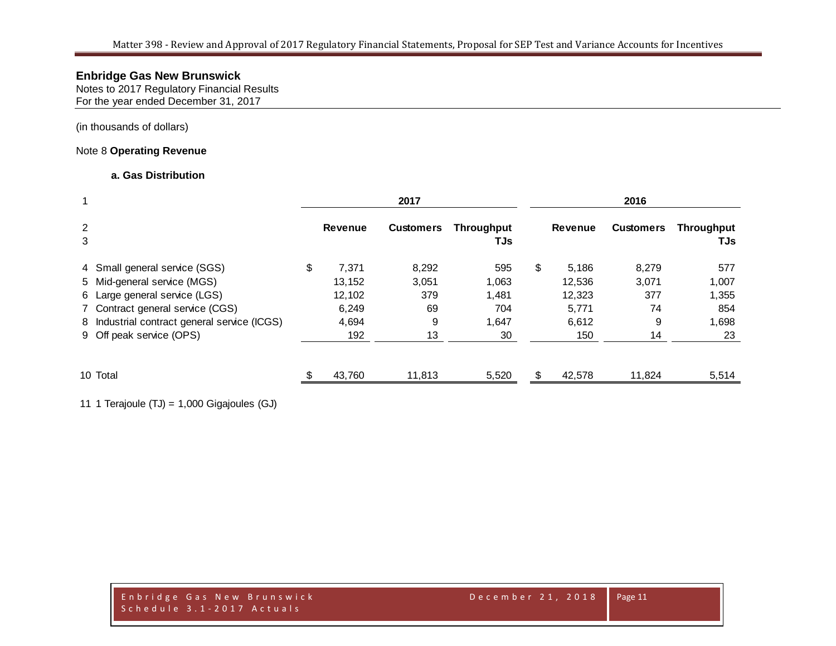Notes to 2017 Regulatory Financial Results For the year ended December 31, 2017

(in thousands of dollars)

### Note 8 **Operating Revenue**

### **a. Gas Distribution**

|                     |                                              |                | 2017             |                          |    |                |                  |                          |
|---------------------|----------------------------------------------|----------------|------------------|--------------------------|----|----------------|------------------|--------------------------|
| $\overline{2}$<br>3 |                                              | <b>Revenue</b> | <b>Customers</b> | <b>Throughput</b><br>TJs |    | <b>Revenue</b> | <b>Customers</b> | <b>Throughput</b><br>TJs |
|                     | 4 Small general service (SGS)                | \$<br>7,371    | 8,292            | 595                      | \$ | 5,186          | 8,279            | 577                      |
|                     | 5 Mid-general service (MGS)                  | 13,152         | 3,051            | 1,063                    |    | 12,536         | 3,071            | 1,007                    |
|                     | 6 Large general service (LGS)                | 12,102         | 379              | 1,481                    |    | 12,323         | 377              | 1,355                    |
|                     | 7 Contract general service (CGS)             | 6.249          | 69               | 704                      |    | 5,771          | 74               | 854                      |
|                     | 8 Industrial contract general service (ICGS) | 4,694          | 9                | 1,647                    |    | 6,612          | 9                | 1,698                    |
|                     | 9 Off peak service (OPS)                     | 192            | 13               | 30                       |    | 150            | 14               | 23                       |
|                     | 10 Total                                     | 43,760         | 11,813           | 5,520                    | £. | 42,578         | 11,824           | 5,514                    |

11 1 Terajoule (TJ) = 1,000 Gigajoules (GJ)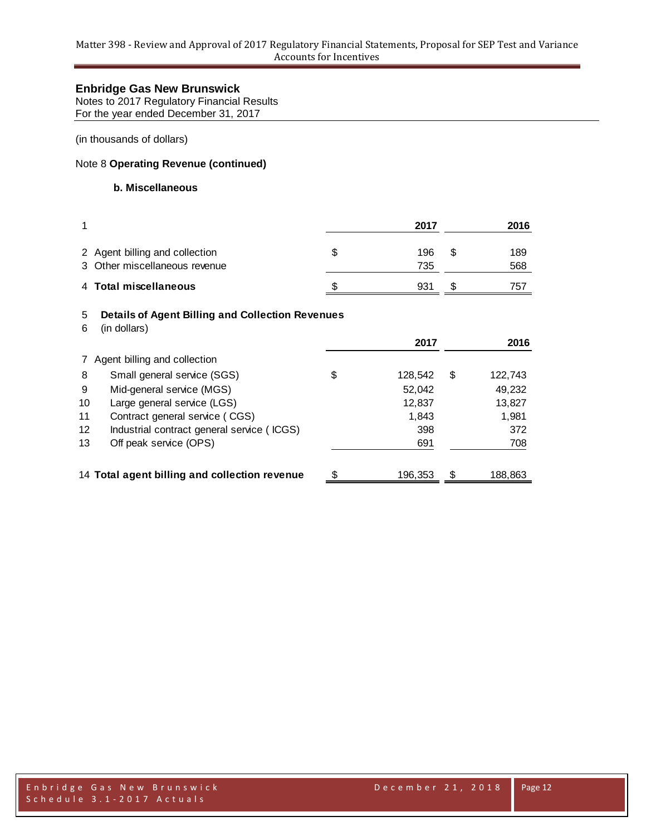Notes to 2017 Regulatory Financial Results For the year ended December 31, 2017

(in thousands of dollars)

# Note 8 **Operating Revenue (continued)**

#### **b. Miscellaneous**

| 1      |                                                                         |    | 2017       |    | 2016       |
|--------|-------------------------------------------------------------------------|----|------------|----|------------|
|        | 2 Agent billing and collection<br>3 Other miscellaneous revenue         | \$ | 196<br>735 | S  | 189<br>568 |
|        | 4 Total miscellaneous                                                   | S. | 931        | £. | 757        |
| 5<br>6 | <b>Details of Agent Billing and Collection Revenues</b><br>(in dollars) |    | 2017       |    | 2016       |

|                   |                                               |    | 2017    | 2016          |
|-------------------|-----------------------------------------------|----|---------|---------------|
|                   | Agent billing and collection                  |    |         |               |
| 8                 | Small general service (SGS)                   | \$ | 128,542 | \$<br>122,743 |
| 9                 | Mid-general service (MGS)                     |    | 52,042  | 49,232        |
| 10                | Large general service (LGS)                   |    | 12,837  | 13,827        |
| 11                | Contract general service (CGS)                |    | 1.843   | 1,981         |
| $12 \overline{ }$ | Industrial contract general service (ICGS)    |    | 398     | 372           |
| 13                | Off peak service (OPS)                        |    | 691     | 708           |
|                   |                                               |    |         |               |
|                   | 14 Total agent billing and collection revenue | S  | 196.353 | \$<br>188,863 |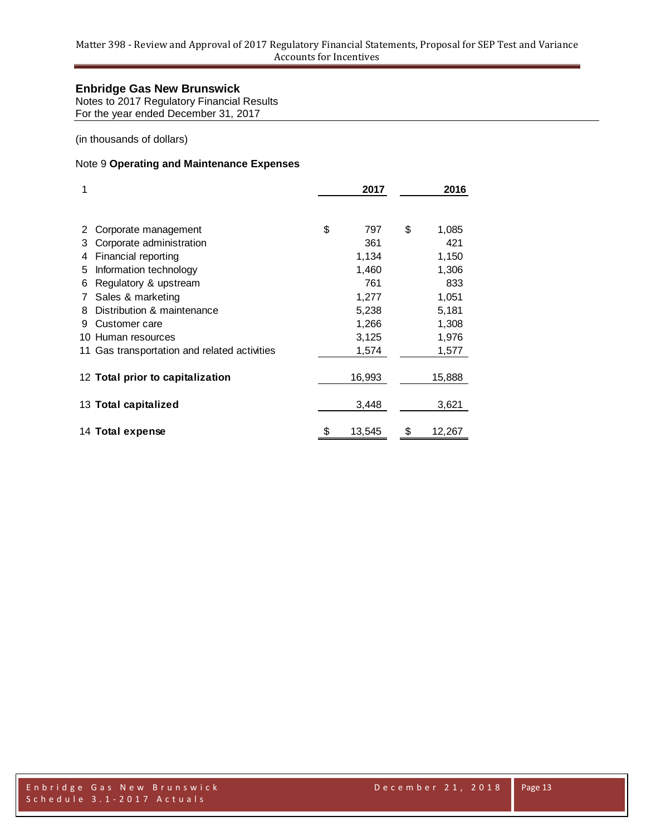Notes to 2017 Regulatory Financial Results For the year ended December 31, 2017

(in thousands of dollars)

# Note 9 **Operating and Maintenance Expenses**

| 1   |                                              | 2017         | 2016         |
|-----|----------------------------------------------|--------------|--------------|
|     |                                              |              |              |
|     | Corporate management                         | \$<br>797    | \$<br>1,085  |
| 3   | Corporate administration                     | 361          | 421          |
| 4   | Financial reporting                          | 1,134        | 1,150        |
| 5.  | Information technology                       | 1,460        | 1,306        |
| 6   | Regulatory & upstream                        | 761          | 833          |
|     | Sales & marketing                            | 1,277        | 1,051        |
| 8   | Distribution & maintenance                   | 5,238        | 5,181        |
| 9   | Customer care                                | 1,266        | 1,308        |
| 10. | Human resources                              | 3,125        | 1,976        |
|     | 11 Gas transportation and related activities | 1,574        | 1,577        |
|     | 12 Total prior to capitalization             | 16,993       | 15,888       |
|     | 13 Total capitalized                         | 3,448        | 3,621        |
|     | 14 Total expense                             | \$<br>13,545 | \$<br>12,267 |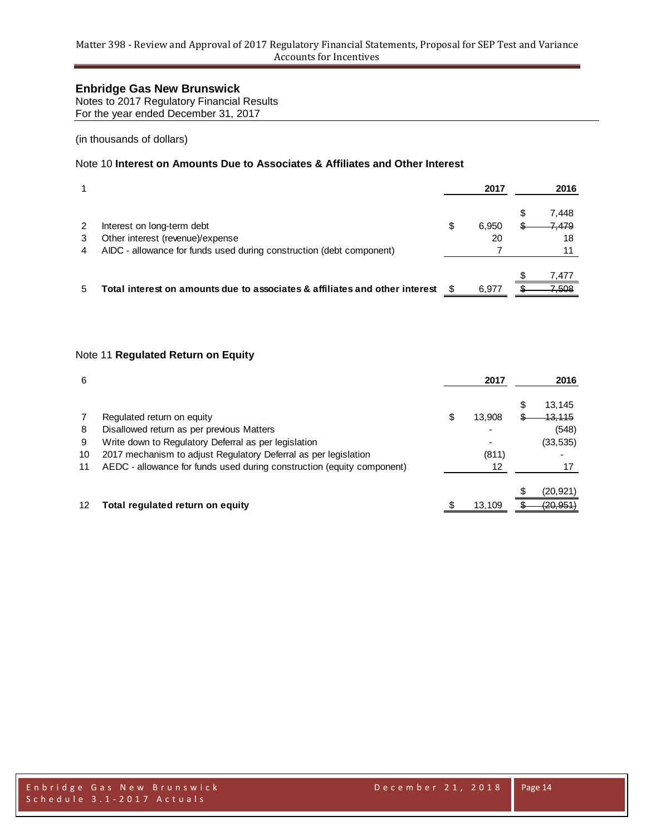Notes to 2017 Regulatory Financial Results For the year ended December 31, 2017

(in thousands of dollars)

# Note 10 **Interest on Amounts Due to Associates & Affiliates and Other Interest**

|        |                                                                             |   | 2017        |   | 2016                 |
|--------|-----------------------------------------------------------------------------|---|-------------|---|----------------------|
| 2<br>3 | Interest on long-term debt<br>Other interest (revenue)/expense              | S | 6.950<br>20 | S | 7,448<br>7,479<br>18 |
| 4      | AIDC - allowance for funds used during construction (debt component)        |   |             |   |                      |
|        |                                                                             |   |             |   | 7.477                |
| 5      | Total interest on amounts due to associates & affiliates and other interest |   | 6.977       |   | 7,508                |

### Note 11 **Regulated Return on Equity**

| 6  |                                                                        | 2017         |   | 2016              |
|----|------------------------------------------------------------------------|--------------|---|-------------------|
|    |                                                                        |              | S | 13,145            |
| 7  | Regulated return on equity                                             | \$<br>13,908 |   | <del>13,115</del> |
| 8  | Disallowed return as per previous Matters                              |              |   | (548)             |
| 9  | Write down to Regulatory Deferral as per legislation                   |              |   | (33, 535)         |
| 10 | 2017 mechanism to adjust Regulatory Deferral as per legislation        | (811)        |   |                   |
| 11 | AEDC - allowance for funds used during construction (equity component) | 12           |   |                   |
|    |                                                                        |              |   | (20,921)          |
| 12 | Total regulated return on equity                                       | 13.109       |   | (20, 951)         |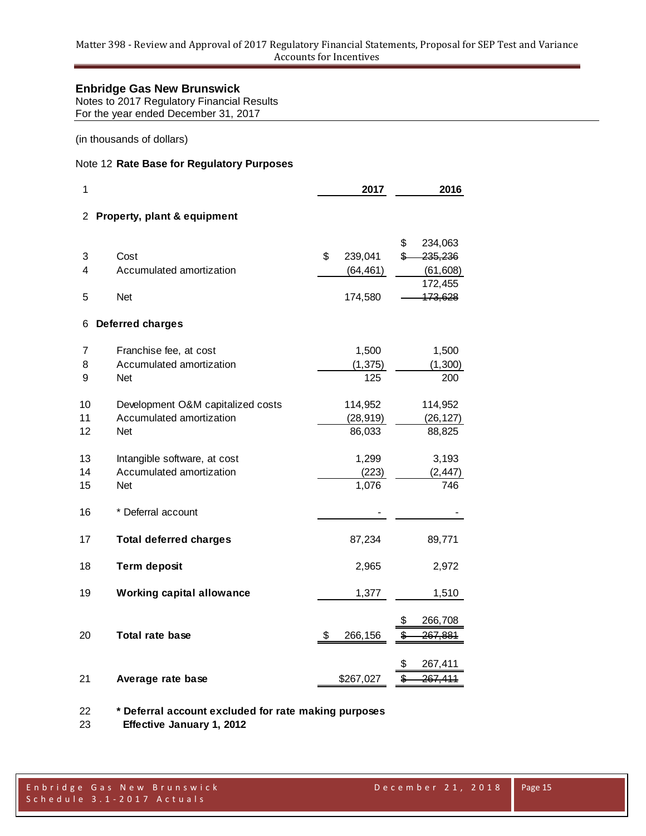Notes to 2017 Regulatory Financial Results For the year ended December 31, 2017

(in thousands of dollars)

# Note 12 **Rate Base for Regulatory Purposes**

| 1              |                                   | 2017<br>2016  |    |                    |  |  |  |
|----------------|-----------------------------------|---------------|----|--------------------|--|--|--|
|                | 2 Property, plant & equipment     |               |    |                    |  |  |  |
|                |                                   |               | \$ | 234,063            |  |  |  |
| 3              | Cost                              | \$<br>239,041 | \$ | 235,236            |  |  |  |
| 4              | Accumulated amortization          | (64, 461)     |    | (61, 608)          |  |  |  |
| 5              | <b>Net</b>                        | 174,580       |    | 172,455<br>173,628 |  |  |  |
| 6              | <b>Deferred charges</b>           |               |    |                    |  |  |  |
| $\overline{7}$ | Franchise fee, at cost            | 1,500         |    | 1,500              |  |  |  |
| 8              | Accumulated amortization          | (1, 375)      |    | (1,300)            |  |  |  |
| 9              | <b>Net</b>                        | 125           |    | 200                |  |  |  |
| 10             | Development O&M capitalized costs | 114,952       |    | 114,952            |  |  |  |
| 11             | Accumulated amortization          | (28, 919)     |    | (26, 127)          |  |  |  |
| 12             | Net                               | 86,033        |    | 88,825             |  |  |  |
| 13             | Intangible software, at cost      | 1,299         |    | 3,193              |  |  |  |
| 14             | Accumulated amortization          | (223)         |    | (2, 447)           |  |  |  |
| 15             | <b>Net</b>                        | 1,076         |    | 746                |  |  |  |
| 16             | * Deferral account                |               |    |                    |  |  |  |
| 17             | <b>Total deferred charges</b>     | 87,234        |    | 89,771             |  |  |  |
| 18             | <b>Term deposit</b>               | 2,965         |    | 2,972              |  |  |  |
| 19             | <b>Working capital allowance</b>  | 1,377         |    | 1,510              |  |  |  |
|                |                                   |               | \$ | 266,708            |  |  |  |
| 20             | Total rate base                   | \$<br>266,156 | \$ | <del>267,881</del> |  |  |  |
|                |                                   |               | \$ | 267,411            |  |  |  |
| 21             | Average rate base                 | \$267,027     | \$ | 267,411            |  |  |  |
|                |                                   |               |    |                    |  |  |  |

**\* Deferral account excluded for rate making purposes**

 **Effective January 1, 2012**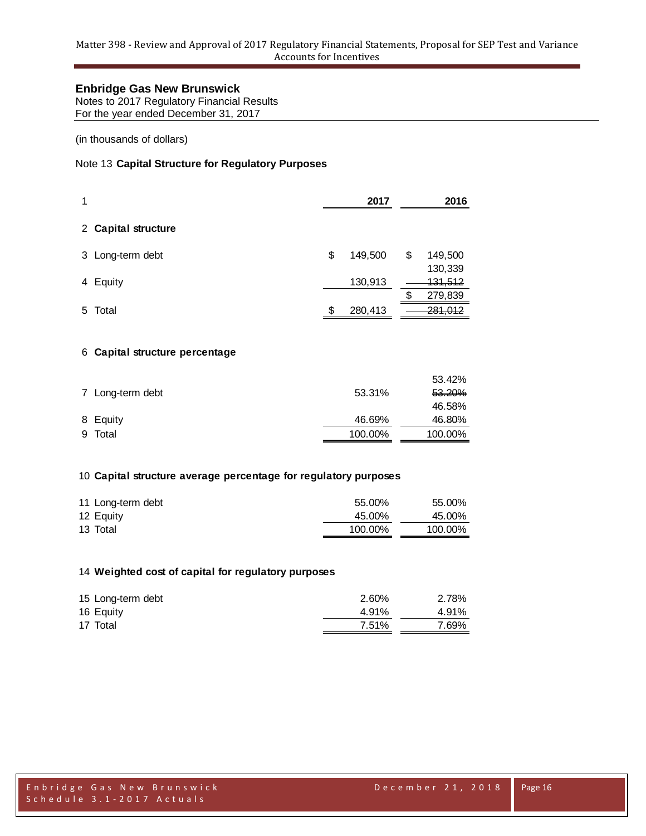Notes to 2017 Regulatory Financial Results For the year ended December 31, 2017

(in thousands of dollars)

# Note 13 **Capital Structure for Regulatory Purposes**

| 1 |                     | 2017          |    | 2016               |
|---|---------------------|---------------|----|--------------------|
|   | 2 Capital structure |               |    |                    |
|   | 3 Long-term debt    | \$<br>149,500 | \$ | 149,500<br>130,339 |
|   | 4 Equity            | 130,913       |    | 131,512            |
|   |                     |               | ß. | 279,839            |
| 5 | Total               | \$<br>280,413 |    | <del>281,012</del> |

#### 6 **Capital structure percentage**

| 53.31%                                  | 53.42%<br>53.20% |
|-----------------------------------------|------------------|
|                                         | 46.58%           |
| 46.69%                                  | 46.80%           |
| 100.00%                                 | 100.00%          |
| 7 Long-term debt<br>8 Equity<br>9 Total |                  |

### 10 **Capital structure average percentage for regulatory purposes**

| 11 Long-term debt | 55.00%  | 55.00%  |
|-------------------|---------|---------|
| 12 Equity         | 45.00%  | 45.00%  |
| 13 Total          | 100.00% | 100.00% |

#### 14 **Weighted cost of capital for regulatory purposes**

| 15 Long-term debt | 2.60% | 2.78% |
|-------------------|-------|-------|
| 16 Equity         | 4.91% | 4.91% |
| 17 Total          | 7.51% | 7.69% |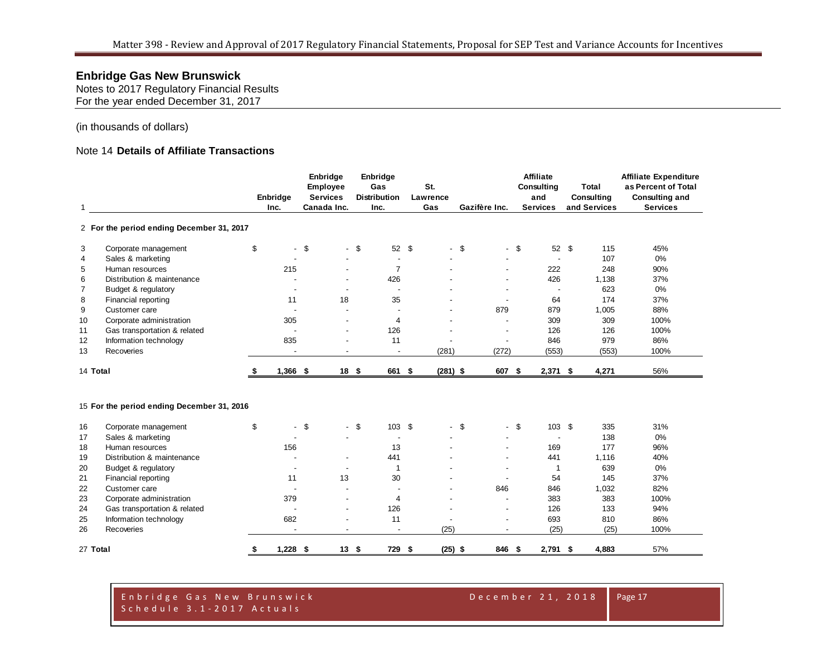Notes to 2017 Regulatory Financial Results For the year ended December 31, 2017

(in thousands of dollars)

# Note 14 **Details of Affiliate Transactions**

|                |                                            |    |            | Enbridge        |                          | Enbridge                 |            |        |                          | <b>Affiliate</b>         |              | Affiliate Expenditure |
|----------------|--------------------------------------------|----|------------|-----------------|--------------------------|--------------------------|------------|--------|--------------------------|--------------------------|--------------|-----------------------|
|                |                                            |    |            | Employee        |                          | Gas                      | St.        |        |                          | Consulting               | Total        | as Percent of Total   |
|                |                                            |    | Enbridge   | <b>Services</b> |                          | <b>Distribution</b>      | Lawrence   |        |                          | and                      | Consulting   | <b>Consulting and</b> |
| 1              |                                            |    | Inc.       | Canada Inc.     |                          | Inc.                     | Gas        |        | Gazifère Inc.            | <b>Services</b>          | and Services | <b>Services</b>       |
|                | 2 For the period ending December 31, 2017  |    |            |                 |                          |                          |            |        |                          |                          |              |                       |
| 3              | Corporate management                       | \$ | $\sim$     | \$              | $\overline{\phantom{a}}$ | 52 \$<br>\$              |            | $-$ \$ | $\blacksquare$           | \$<br>52 \$              | 115          | 45%                   |
| 4              | Sales & marketing                          |    |            |                 |                          |                          |            |        |                          | $\blacksquare$           | 107          | 0%                    |
| 5              | Human resources                            |    | 215        |                 |                          | $\overline{7}$           |            |        |                          | 222                      | 248          | 90%                   |
| 6              | Distribution & maintenance                 |    |            |                 |                          | 426                      |            |        |                          | 426                      | 1,138        | 37%                   |
| $\overline{7}$ | Budget & regulatory                        |    |            |                 |                          |                          |            |        |                          | $\overline{\phantom{a}}$ | 623          | 0%                    |
| 8              | Financial reporting                        |    | 11         |                 | 18                       | 35                       |            |        |                          | 64                       | 174          | 37%                   |
| 9              | Customer care                              |    |            |                 |                          |                          |            |        | 879                      | 879                      | 1,005        | 88%                   |
| 10             | Corporate administration                   |    | 305        |                 |                          | $\overline{4}$           |            |        | $\overline{\phantom{a}}$ | 309                      | 309          | 100%                  |
| 11             | Gas transportation & related               |    |            |                 |                          | 126                      |            |        |                          | 126                      | 126          | 100%                  |
| 12             | Information technology                     |    | 835        |                 |                          | 11                       |            |        | $\overline{a}$           | 846                      | 979          | 86%                   |
| 13             | Recoveries                                 |    |            |                 |                          |                          | (281)      |        | (272)                    | (553)                    | (553)        | 100%                  |
| 14 Total       |                                            | S  | $1,366$ \$ |                 | 18 <sup>5</sup>          | 661 \$                   | $(281)$ \$ |        | 607 \$                   | $2,371$ \$               | 4,271        | 56%                   |
|                | 15 For the period ending December 31, 2016 |    |            |                 |                          |                          |            |        |                          |                          |              |                       |
| 16             | Corporate management                       | \$ |            | \$              | $\overline{\phantom{0}}$ | \$<br>103 \$             |            | $-$ \$ | $\blacksquare$           | \$<br>103S               | 335          | 31%                   |
| 17             | Sales & marketing                          |    |            |                 |                          |                          |            |        |                          | $\overline{a}$           | 138          | 0%                    |
| 18             | Human resources                            |    | 156        |                 |                          | 13                       |            |        |                          | 169                      | 177          | 96%                   |
| 19             | Distribution & maintenance                 |    |            |                 | $\overline{\phantom{a}}$ | 441                      |            |        |                          | 441                      | 1,116        | 40%                   |
| 20             | Budget & regulatory                        |    |            |                 |                          | $\overline{1}$           |            |        |                          | 1                        | 639          | 0%                    |
| 21             | Financial reporting                        |    | 11         |                 | 13                       | 30                       |            |        |                          | 54                       | 145          | 37%                   |
| 22             | Customer care                              |    |            |                 |                          |                          |            |        | 846                      | 846                      | 1,032        | 82%                   |
| 23             | Corporate administration                   |    | 379        |                 |                          | 4                        |            |        |                          | 383                      | 383          | 100%                  |
| 24             | Gas transportation & related               |    |            |                 | $\overline{\phantom{a}}$ | 126                      |            |        |                          | 126                      | 133          | 94%                   |
| 25             | Information technology                     |    | 682        |                 |                          | 11                       |            |        |                          | 693                      | 810          | 86%                   |
| 26             | Recoveries                                 |    |            |                 | $\overline{a}$           | $\overline{\phantom{a}}$ | (25)       |        | $\overline{a}$           | (25)                     | (25)         | 100%                  |
| 27 Total       |                                            | \$ | $1,228$ \$ |                 | 13S                      | 729 \$                   | $(25)$ \$  |        | 846 \$                   | $2,791$ \$               | 4,883        | 57%                   |

E n b r i d g e G a s N e w B r u n s w i c k D e c e m b e r 2 1 , 2 0 1 8 S c h e d u l e 3 . 1 - 2 0 1 7 A c t u a l s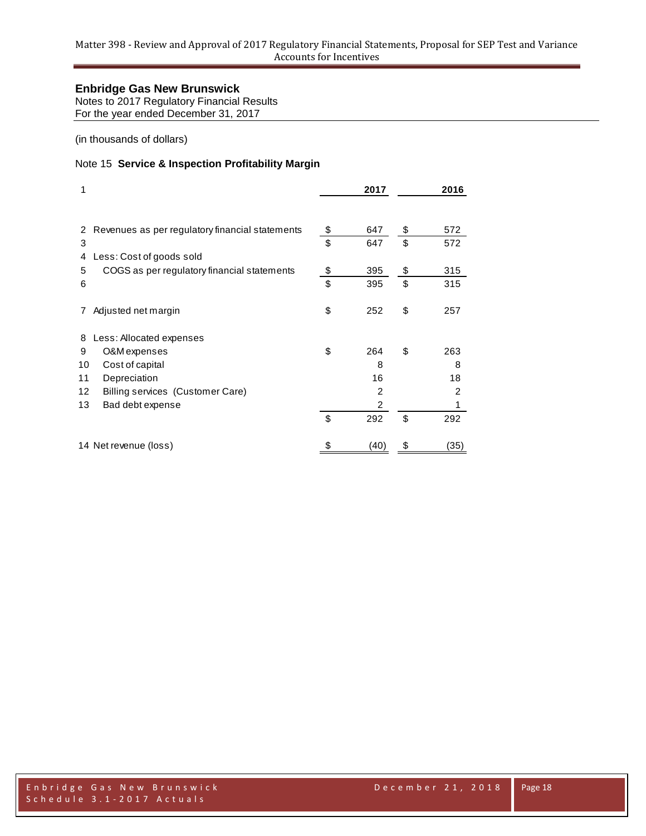Notes to 2017 Regulatory Financial Results For the year ended December 31, 2017

(in thousands of dollars)

# Note 15 **Service & Inspection Profitability Margin**

| 1                 |                                                 | 2017           | 2016      |
|-------------------|-------------------------------------------------|----------------|-----------|
| 2                 | Revenues as per regulatory financial statements | \$<br>647      | \$<br>572 |
| 3                 |                                                 | \$<br>647      | \$<br>572 |
| 4                 | Less: Cost of goods sold                        |                |           |
| 5                 | COGS as per regulatory financial statements     | \$<br>395      | \$<br>315 |
| 6                 |                                                 | \$<br>395      | \$<br>315 |
| 7                 | Adjusted net margin                             | \$<br>252      | \$<br>257 |
| 8                 | Less: Allocated expenses                        |                |           |
| 9                 | O&M expenses                                    | \$<br>264      | \$<br>263 |
| 10                | Cost of capital                                 | 8              | 8         |
| 11                | Depreciation                                    | 16             | 18        |
| $12 \overline{ }$ | Billing services (Customer Care)                | $\overline{2}$ | 2         |
| 13                | Bad debt expense                                | 2              | 1         |
|                   |                                                 | \$<br>292      | \$<br>292 |
|                   | 14 Net revenue (loss)                           | (40)           | (35)      |